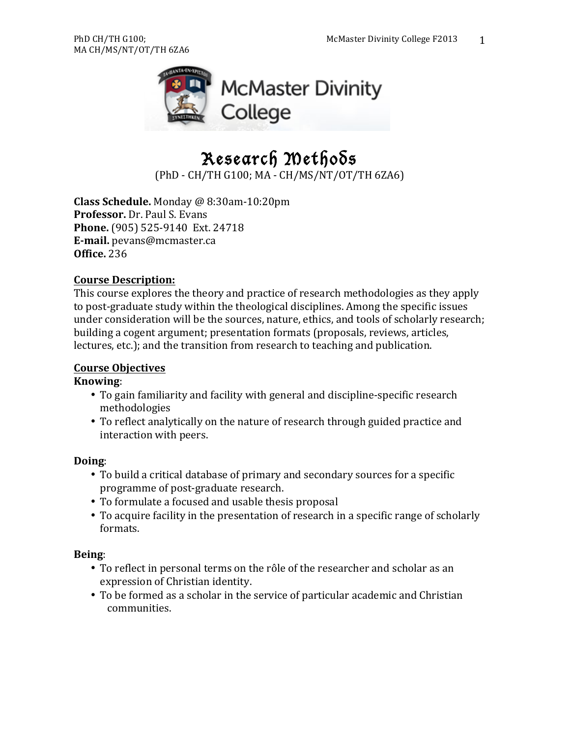

# Research Methods

(PhD - CH/TH G100; MA - CH/MS/NT/OT/TH 6ZA6)

**Class Schedule.** Monday @ 8:30am-10:20pm **Professor.** Dr. Paul S. Evans **Phone.** (905) 525-9140 Ext. 24718 **E-mail.** pevans@mcmaster.ca **Office.** 236

#### **Course Description:**

This course explores the theory and practice of research methodologies as they apply to post-graduate study within the theological disciplines. Among the specific issues under consideration will be the sources, nature, ethics, and tools of scholarly research; building a cogent argument; presentation formats (proposals, reviews, articles, lectures, etc.); and the transition from research to teaching and publication.

#### **Course Objectives**

#### **Knowing**:

- To gain familiarity and facility with general and discipline-specific research methodologies
- To reflect analytically on the nature of research through guided practice and interaction with peers.

#### **Doing**:

- To build a critical database of primary and secondary sources for a specific programme of post-graduate research.
- To formulate a focused and usable thesis proposal
- To acquire facility in the presentation of research in a specific range of scholarly formats.

#### **Being**:

- To reflect in personal terms on the rôle of the researcher and scholar as an expression of Christian identity.
- To be formed as a scholar in the service of particular academic and Christian communities.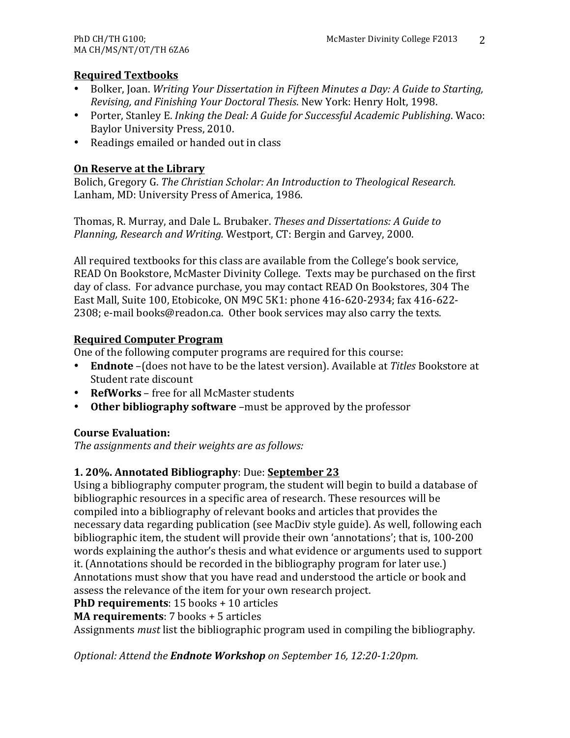# **Required Textbooks**

- Bolker, Joan. *Writing Your Dissertation in Fifteen Minutes a Day: A Guide to Starting, Revising, and Finishing Your Doctoral Thesis*. New York: Henry Holt, 1998.
- Porter, Stanley E. *Inking the Deal: A Guide for Successful Academic Publishing*. Waco: Baylor University Press, 2010.
- Readings emailed or handed out in class

# **On Reserve at the Library**

Bolich, Gregory G. *The Christian Scholar: An Introduction to Theological Research.* Lanham, MD: University Press of America, 1986.

Thomas, R. Murray, and Dale L. Brubaker. *Theses and Dissertations: A Guide to Planning, Research and Writing.* Westport, CT: Bergin and Garvey, 2000.

All required textbooks for this class are available from the College's book service, READ On Bookstore, McMaster Divinity College. Texts may be purchased on the first day of class. For advance purchase, you may contact READ On Bookstores, 304 The East Mall, Suite 100, Etobicoke, ON M9C 5K1: phone 416-620-2934; fax 416-622- $2308$ ; e-mail books@readon.ca. Other book services may also carry the texts.

# **Required Computer Program**

One of the following computer programs are required for this course:

- **Endnote** (does not have to be the latest version). Available at *Titles* Bookstore at Student rate discount
- **RefWorks** free for all McMaster students
- Other bibliography software –must be approved by the professor

# **Course Evaluation:**

The assignments and their weights are as follows:

# **1. 20%. Annotated Bibliography: Due: September 23**

Using a bibliography computer program, the student will begin to build a database of bibliographic resources in a specific area of research. These resources will be compiled into a bibliography of relevant books and articles that provides the necessary data regarding publication (see MacDiv style guide). As well, following each bibliographic item, the student will provide their own 'annotations'; that is, 100-200 words explaining the author's thesis and what evidence or arguments used to support it. (Annotations should be recorded in the bibliography program for later use.) Annotations must show that you have read and understood the article or book and assess the relevance of the item for your own research project.

# **PhD requirements**: 15 books + 10 articles

**MA requirements**: 7 books + 5 articles

Assignments *must* list the bibliographic program used in compiling the bibliography.

*Optional: Attend the Endnote Workshop on September 16, 12:20-1:20pm.*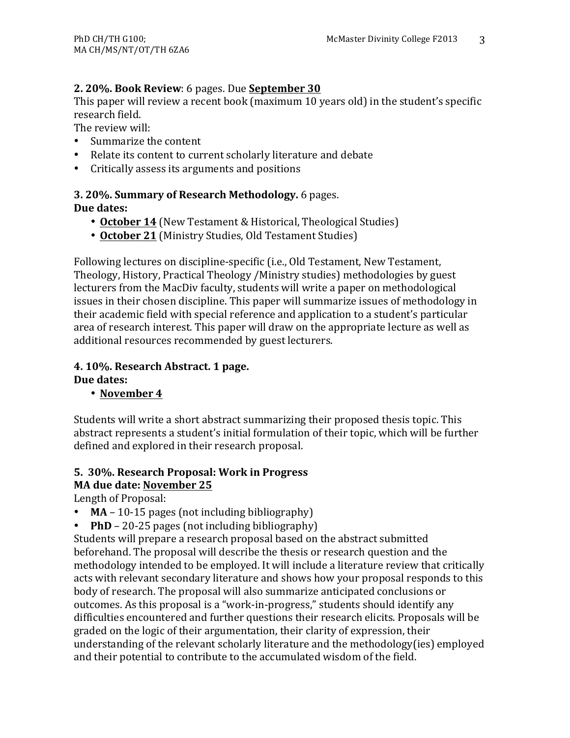# **2. 20%. Book Review**: 6 pages. Due **September** 30

This paper will review a recent book (maximum 10 years old) in the student's specific research field.

The review will:

- Summarize the content
- Relate its content to current scholarly literature and debate
- Critically assess its arguments and positions

### **3. 20%. Summary of Research Methodology.** 6 pages. **Due dates:**

- **October 14** (New Testament & Historical, Theological Studies)
- October 21 (Ministry Studies, Old Testament Studies)

Following lectures on discipline-specific (i.e., Old Testament, New Testament, Theology, History, Practical Theology /Ministry studies) methodologies by guest lecturers from the MacDiy faculty, students will write a paper on methodological issues in their chosen discipline. This paper will summarize issues of methodology in their academic field with special reference and application to a student's particular area of research interest. This paper will draw on the appropriate lecture as well as additional resources recommended by guest lecturers.

#### **4. 10%. Research Abstract. 1 page.** Due dates:

# • November 4

Students will write a short abstract summarizing their proposed thesis topic. This abstract represents a student's initial formulation of their topic, which will be further defined and explored in their research proposal.

# **5. 30%. Research Proposal: Work in Progress MA due date: November 25**

Length of Proposal:

- $MA 10-15$  pages (not including bibliography)
- **PhD** 20-25 pages (not including bibliography)

Students will prepare a research proposal based on the abstract submitted beforehand. The proposal will describe the thesis or research question and the methodology intended to be employed. It will include a literature review that critically acts with relevant secondary literature and shows how your proposal responds to this body of research. The proposal will also summarize anticipated conclusions or outcomes. As this proposal is a "work-in-progress," students should identify any difficulties encountered and further questions their research elicits. Proposals will be graded on the logic of their argumentation, their clarity of expression, their understanding of the relevant scholarly literature and the methodology(ies) employed and their potential to contribute to the accumulated wisdom of the field.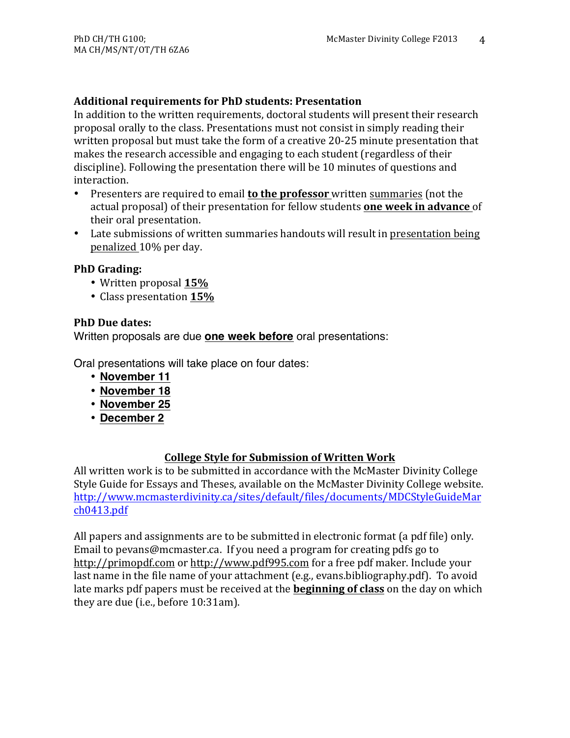#### **Additional requirements for PhD students: Presentation**

In addition to the written requirements, doctoral students will present their research proposal orally to the class. Presentations must not consist in simply reading their written proposal but must take the form of a creative 20-25 minute presentation that makes the research accessible and engaging to each student (regardless of their discipline). Following the presentation there will be 10 minutes of questions and interaction.

- Presenters are required to email **to the professor** written summaries (not the actual proposal) of their presentation for fellow students **one week in advance** of their oral presentation.
- Late submissions of written summaries handouts will result in presentation being penalized 10% per day.

#### **PhD** Grading:

- Written proposal **15%**
- Class presentation **15%**

#### **PhD Due dates:**

Written proposals are due **one week before** oral presentations:

Oral presentations will take place on four dates:

- **November 11**
- **November 18**
- **November 25**
- **December 2**

# **College Style for Submission of Written Work**

All written work is to be submitted in accordance with the McMaster Divinity College Style Guide for Essays and Theses, available on the McMaster Divinity College website. http://www.mcmasterdivinity.ca/sites/default/files/documents/MDCStyleGuideMar ch0413.pdf

All papers and assignments are to be submitted in electronic format (a pdf file) only. Email to pevans@mcmaster.ca. If you need a program for creating pdfs go to http://primopdf.com or http://www.pdf995.com for a free pdf maker. Include your last name in the file name of your attachment (e.g., evans.bibliography.pdf). To avoid late marks pdf papers must be received at the **beginning of class** on the day on which they are due (i.e., before  $10:31$ am).